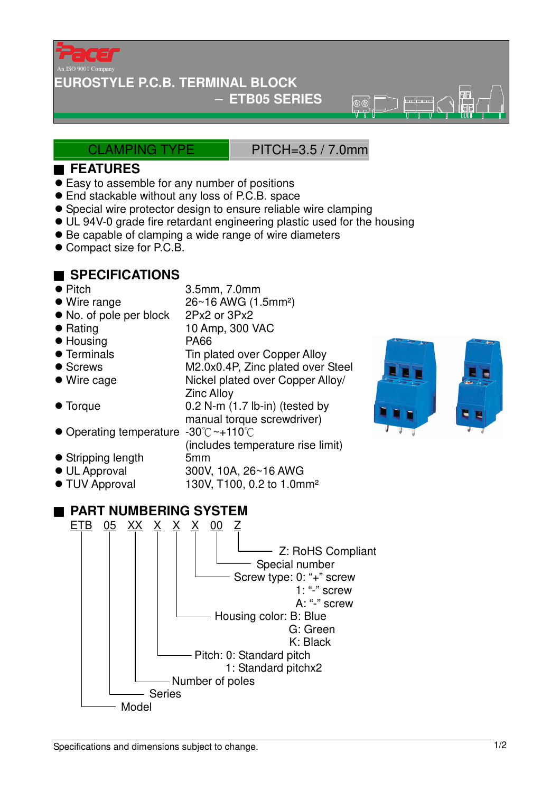

#### **EUROSTYLE P.C.B. TERMINAL BLOCK**

### − **ETB05 SERIES**

ক্ৰমে

### CLAMPING TYPE PITCH=3.5 / 7.0mm

### ■ **FEATURES**

- Easy to assemble for any number of positions
- End stackable without any loss of P.C.B. space
- Special wire protector design to ensure reliable wire clamping
- UL 94V-0 grade fire retardant engineering plastic used for the housing
- Be capable of clamping a wide range of wire diameters
- Compact size for P.C.B.

## ■ **SPECIFICATIONS**

● Pitch 3.5mm, 7.0mm ● Wire range 26~16 AWG (1.5mm<sup>2</sup>) • No. of pole per block 2Px2 or 3Px2 ● Rating 10 Amp, 300 VAC ● Housing PA66 • Terminals Tin plated over Copper Alloy ● Screws M2.0x0.4P, Zinc plated over Steel ● Wire cage Nickel plated over Copper Alloy Zinc Alloy ● Torque 0.2 N-m (1.7 lb-in) (tested by manual torque screwdriver) ● Operating temperature -30 °C ~+110 °C (includes temperature rise limit) Stripping length 5mm UL Approval 300V, 10A, 26~16 AWG ● TUV Approval 130V, T100, 0.2 to 1.0mm<sup>2</sup> ■ **PART NUMBERING SYSTEM** <u>ETB 05 XX X X X 00 Z</u> Special number 1: "-" screw